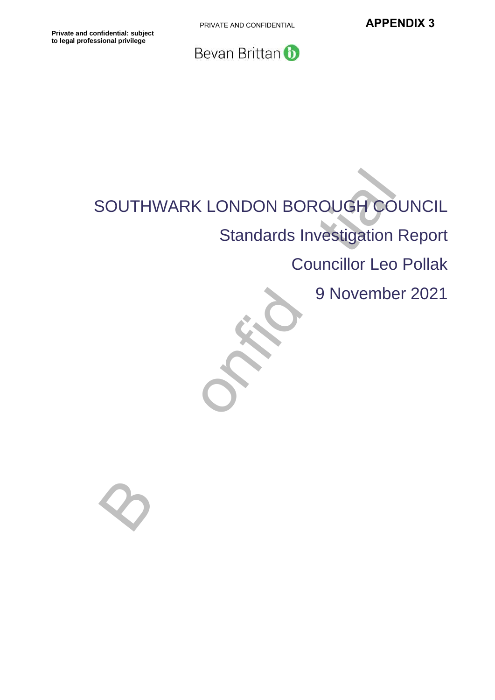PRIVATE AND CONFIDENTIAL **APPENDIX 3** 



# SOUTHWARK LONDON BOROUGH COL<br>
Standards Investigation F<br>
Councillor Leo<br>
9 November SOUTHWARK LONDON BOROUGH COUNCIL Standards Investigation Report Councillor Leo Pollak

9 November 2021

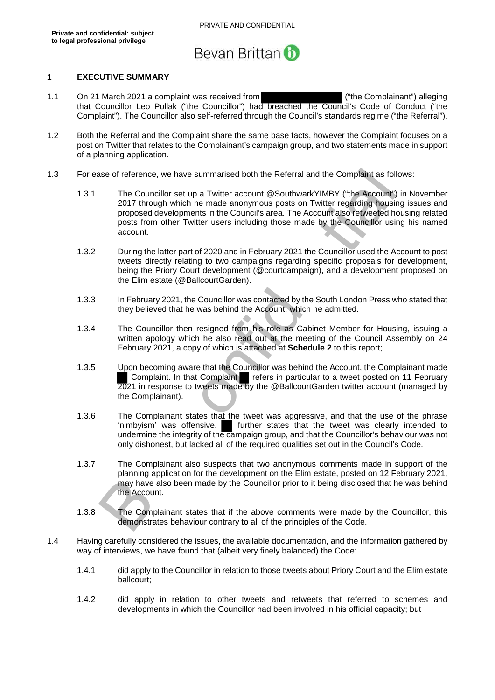

#### **1 EXECUTIVE SUMMARY**

- 1.1 On 21 March 2021 a complaint was received from ("the Complainant") alleging that Councillor Leo Pollak ("the Councillor") had breached the Council's Code of Conduct ("the Complaint"). The Councillor also self-referred through the Council's standards regime ("the Referral").
- 1.2 Both the Referral and the Complaint share the same base facts, however the Complaint focuses on a post on Twitter that relates to the Complainant's campaign group, and two statements made in support of a planning application.
- 1.3 For ease of reference, we have summarised both the Referral and the Complaint as follows:
- se of reference, we have summarised both the Referral and the Complaint as follow<br>The Councillor set up a Twitter account @SouthwarkYIMBY ("the Account") in<br>2017 through which he made amonymous posts on Twitter regarding t 1.3.1 The Councillor set up a Twitter account @SouthwarkYIMBY ("the Account") in November 2017 through which he made anonymous posts on Twitter regarding housing issues and proposed developments in the Council's area. The Account also retweeted housing related posts from other Twitter users including those made by the Councillor using his named account.
	- 1.3.2 During the latter part of 2020 and in February 2021 the Councillor used the Account to post tweets directly relating to two campaigns regarding specific proposals for development, being the Priory Court development (@courtcampaign), and a development proposed on the Elim estate (@BallcourtGarden).
	- 1.3.3 In February 2021, the Councillor was contacted by the South London Press who stated that they believed that he was behind the Account, which he admitted.
	- 1.3.4 The Councillor then resigned from his role as Cabinet Member for Housing, issuing a written apology which he also read out at the meeting of the Council Assembly on 24 February 2021, a copy of which is attached at **Schedule 2** to this report;
	- 1.3.5 Upon becoming aware that the Councillor was behind the Account, the Complainant made Complaint. In that Complaint refers in particular to a tweet posted on 11 February 2021 in response to tweets made by the @BallcourtGarden twitter account (managed by the Complainant).
	- 1.3.6 The Complainant states that the tweet was aggressive, and that the use of the phrase 'nimbyism' was offensive. I further states that the tweet was clearly intended to undermine the integrity of the campaign group, and that the Councillor's behaviour was not only dishonest, but lacked all of the required qualities set out in the Council's Code.
	- 1.3.7 The Complainant also suspects that two anonymous comments made in support of the planning application for the development on the Elim estate, posted on 12 February 2021, may have also been made by the Councillor prior to it being disclosed that he was behind the Account.
	- 1.3.8 The Complainant states that if the above comments were made by the Councillor, this demonstrates behaviour contrary to all of the principles of the Code.
- 1.4 Having carefully considered the issues, the available documentation, and the information gathered by way of interviews, we have found that (albeit very finely balanced) the Code:
	- 1.4.1 did apply to the Councillor in relation to those tweets about Priory Court and the Elim estate ballcourt;
	- 1.4.2 did apply in relation to other tweets and retweets that referred to schemes and developments in which the Councillor had been involved in his official capacity; but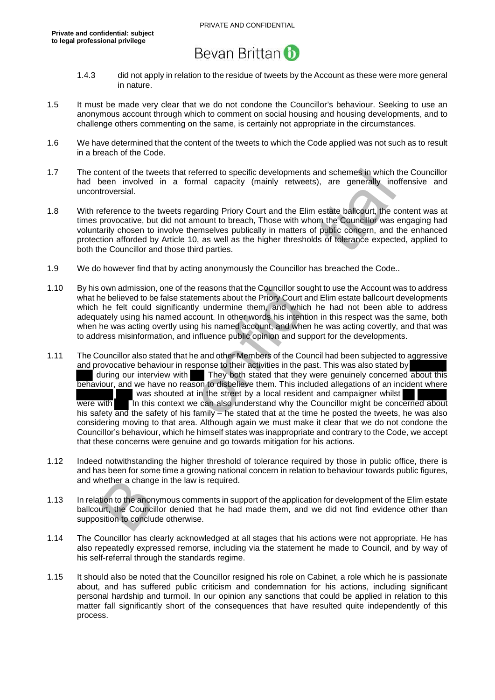

- 1.4.3 did not apply in relation to the residue of tweets by the Account as these were more general in nature.
- 1.5 It must be made very clear that we do not condone the Councillor's behaviour. Seeking to use an anonymous account through which to comment on social housing and housing developments, and to challenge others commenting on the same, is certainly not appropriate in the circumstances.
- 1.6 We have determined that the content of the tweets to which the Code applied was not such as to result in a breach of the Code.
- 1.7 The content of the tweets that referred to specific developments and schemes in which the Councillor had been involved in a formal capacity (mainly retweets), are generally inoffensive and uncontroversial.
- 1.8 With reference to the tweets regarding Priory Court and the Elim estate ballcourt, the content was at times provocative, but did not amount to breach, Those with whom the Councillor was engaging had voluntarily chosen to involve themselves publically in matters of public concern, and the enhanced protection afforded by Article 10, as well as the higher thresholds of tolerance expected, applied to both the Councillor and those third parties.
- 1.9 We do however find that by acting anonymously the Councillor has breached the Code..
- 1.10 By his own admission, one of the reasons that the Councillor sought to use the Account was to address what he believed to be false statements about the Priory Court and Elim estate ballcourt developments which he felt could significantly undermine them, and which he had not been able to address adequately using his named account. In other words his intention in this respect was the same, both when he was acting overtly using his named account, and when he was acting covertly, and that was to address misinformation, and influence public opinion and support for the developments.
- ontent of the tweets that referred to specific developments and schemes in which the<br>been involved in a formal capacity (mainly retweets), are generally inoffit<br>troversial.<br>
Efference to the tweets regarding Priny Court an 1.11 The Councillor also stated that he and other Members of the Council had been subjected to aggressive and provocative behaviour in response to their activities in the past. This was also stated by during our interview with They both stated that they were genuinely concerned about this behaviour, and we have no reason to disbelieve them. This included allegations of an incident where was shouted at in the street by a local resident and campaigner whilst were with In this context we can also understand why the Councillor might be concerned about his safety and the safety of his family – he stated that at the time he posted the tweets, he was also considering moving to that area. Although again we must make it clear that we do not condone the Councillor's behaviour, which he himself states was inappropriate and contrary to the Code, we accept that these concerns were genuine and go towards mitigation for his actions.
- 1.12 Indeed notwithstanding the higher threshold of tolerance required by those in public office, there is and has been for some time a growing national concern in relation to behaviour towards public figures, and whether a change in the law is required.
- 1.13 In relation to the anonymous comments in support of the application for development of the Elim estate ballcourt, the Councillor denied that he had made them, and we did not find evidence other than supposition to conclude otherwise.
- 1.14 The Councillor has clearly acknowledged at all stages that his actions were not appropriate. He has also repeatedly expressed remorse, including via the statement he made to Council, and by way of his self-referral through the standards regime.
- 1.15 It should also be noted that the Councillor resigned his role on Cabinet, a role which he is passionate about, and has suffered public criticism and condemnation for his actions, including significant personal hardship and turmoil. In our opinion any sanctions that could be applied in relation to this matter fall significantly short of the consequences that have resulted quite independently of this process.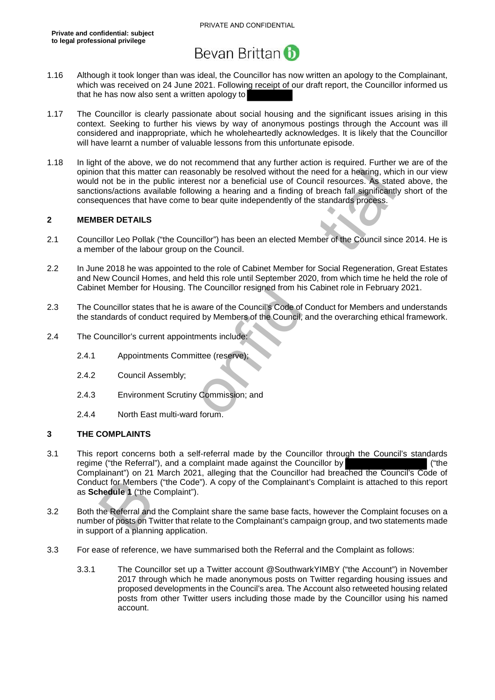

- 1.16 Although it took longer than was ideal, the Councillor has now written an apology to the Complainant, which was received on 24 June 2021. Following receipt of our draft report, the Councillor informed us that he has now also sent a written apology to
- 1.17 The Councillor is clearly passionate about social housing and the significant issues arising in this context. Seeking to further his views by way of anonymous postings through the Account was ill considered and inappropriate, which he wholeheartedly acknowledges. It is likely that the Councillor will have learnt a number of valuable lessons from this unfortunate episode.
- 1.18 In light of the above, we do not recommend that any further action is required. Further we are of the opinion that this matter can reasonably be resolved without the need for a hearing, which in our view would not be in the public interest nor a beneficial use of Council resources. As stated above, the sanctions/actions available following a hearing and a finding of breach fall significantly short of the consequences that have come to bear quite independently of the standards process.

#### **2 MEMBER DETAILS**

- 2.1 Councillor Leo Pollak ("the Councillor") has been an elected Member of the Council since 2014. He is a member of the labour group on the Council.
- 2.2 In June 2018 he was appointed to the role of Cabinet Member for Social Regeneration, Great Estates and New Council Homes, and held this role until September 2020, from which time he held the role of Cabinet Member for Housing. The Councillor resigned from his Cabinet role in February 2021.
- 2.3 The Councillor states that he is aware of the Council's Code of Conduct for Members and understands the standards of conduct required by Members of the Council, and the overarching ethical framework.
- 2.4 The Councillor's current appointments include:
	- 2.4.1 Appointments Committee (reserve);
	- 2.4.2 Council Assembly;
	- 2.4.3 Environment Scrutiny Commission; and
	- 2.4.4 North East multi-ward forum.

#### **3 THE COMPLAINTS**

- m hat this matter can reasonably be resolved without the need for a hearing, which<br>not be in the public interest nor a beneficial use of Council resources. As stated<br>ons/actions available following a hearing and a finding 3.1 This report concerns both a self-referral made by the Councillor through the Council's standards regime ("the Referral"), and a complaint made against the Councillor by ("the Complainant") on 21 March 2021, alleging that the Councillor had breached the Council's Code of Conduct for Members ("the Code"). A copy of the Complainant's Complaint is attached to this report as **Schedule 1** ("the Complaint").
- 3.2 Both the Referral and the Complaint share the same base facts, however the Complaint focuses on a number of posts on Twitter that relate to the Complainant's campaign group, and two statements made in support of a planning application.
- 3.3 For ease of reference, we have summarised both the Referral and the Complaint as follows:
	- 3.3.1 The Councillor set up a Twitter account @SouthwarkYIMBY ("the Account") in November 2017 through which he made anonymous posts on Twitter regarding housing issues and proposed developments in the Council's area. The Account also retweeted housing related posts from other Twitter users including those made by the Councillor using his named account.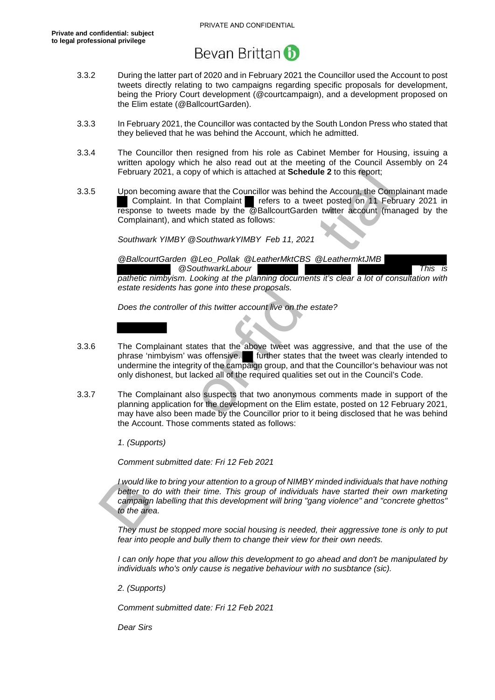

- 3.3.2 During the latter part of 2020 and in February 2021 the Councillor used the Account to post tweets directly relating to two campaigns regarding specific proposals for development, being the Priory Court development (@courtcampaign), and a development proposed on the Elim estate (@BallcourtGarden).
- 3.3.3 In February 2021, the Councillor was contacted by the South London Press who stated that they believed that he was behind the Account, which he admitted.
- 3.3.4 The Councillor then resigned from his role as Cabinet Member for Housing, issuing a written apology which he also read out at the meeting of the Council Assembly on 24 February 2021, a copy of which is attached at **Schedule 2** to this report;
- 3.3.5 Upon becoming aware that the Councillor was behind the Account, the Complainant made Complaint. In that Complaint refers to a tweet posted on 11 February 2021 in response to tweets made by the @BallcourtGarden twitter account (managed by the Complainant), and which stated as follows:

*Southwark YIMBY @SouthwarkYIMBY Feb 11, 2021* 

*@BallcourtGarden @Leo\_Pollak @LeatherMktCBS @LeathermktJMB @SouthwarkLabour This is pathetic nimbyism. Looking at the planning documents it's clear a lot of consultation with estate residents has gone into these proposals.* 

*Does the controller of this twitter account live on the estate?* 

- 3.3.6 The Complainant states that the above tweet was aggressive, and that the use of the phrase 'nimbyism' was offensive. further states that the tweet was clearly intended to undermine the integrity of the campaign group, and that the Councillor's behaviour was not only dishonest, but lacked all of the required qualities set out in the Council's Code.
- February 2021, a copy of which is attached at **Schedule 2** to this report;<br>
Upon becoming aware that the Conventible was behind the Account, the Complement<br> **Complement in the Convention of the diversion of the Account of** 3.3.7 The Complainant also suspects that two anonymous comments made in support of the planning application for the development on the Elim estate, posted on 12 February 2021, may have also been made by the Councillor prior to it being disclosed that he was behind the Account. Those comments stated as follows:

*1. (Supports)* 

*Comment submitted date: Fri 12 Feb 2021* 

*I would like to bring your attention to a group of NIMBY minded individuals that have nothing*  better to do with their time. This group of individuals have started their own marketing *campaign labelling that this development will bring "gang violence" and "concrete ghettos" to the area.* 

*They must be stopped more social housing is needed, their aggressive tone is only to put fear into people and bully them to change their view for their own needs.* 

*I can only hope that you allow this development to go ahead and don't be manipulated by individuals who's only cause is negative behaviour with no susbtance (sic).* 

*2. (Supports)* 

*Comment submitted date: Fri 12 Feb 2021* 

*Dear Sirs*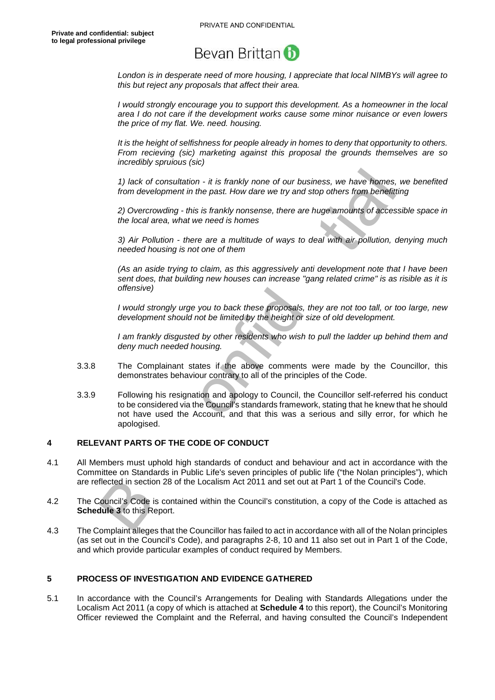*London is in desperate need of more housing, I appreciate that local NIMBYs will agree to this but reject any proposals that affect their area.* 

*I would strongly encourage you to support this development. As a homeowner in the local area I do not care if the development works cause some minor nuisance or even lowers the price of my flat. We. need. housing.* 

*It is the height of selfishness for people already in homes to deny that opportunity to others. From recieving (sic) marketing against this proposal the grounds themselves are so incredibly spruious (sic)* 

*1) lack of consultation - it is frankly none of our business, we have homes, we benefited from development in the past. How dare we try and stop others from benefitting* 

*2) Overcrowding - this is frankly nonsense, there are huge amounts of accessible space in the local area, what we need is homes* 

*3) Air Pollution - there are a multitude of ways to deal with air pollution, denying much needed housing is not one of them* 

*(As an aside trying to claim, as this aggressively anti development note that I have been sent does, that building new houses can increase "gang related crime" is as risible as it is offensive)* 

*I would strongly urge you to back these proposals, they are not too tall, or too large, new development should not be limited by the height or size of old development.* 

*I am frankly disgusted by other residents who wish to pull the ladder up behind them and deny much needed housing.*

- 3.3.8 The Complainant states if the above comments were made by the Councillor, this demonstrates behaviour contrary to all of the principles of the Code.
- 1) lack of consultation it is frankly none of our business, we have homes, if from development in the past. How dare we try and stop others from benefittin 2) Overcrowding this is frankly nonsense, there are huge amou 3.3.9 Following his resignation and apology to Council, the Councillor self-referred his conduct to be considered via the Council's standards framework, stating that he knew that he should not have used the Account, and that this was a serious and silly error, for which he apologised.

#### **4 RELEVANT PARTS OF THE CODE OF CONDUCT**

- 4.1 All Members must uphold high standards of conduct and behaviour and act in accordance with the Committee on Standards in Public Life's seven principles of public life ("the Nolan principles"), which are reflected in section 28 of the Localism Act 2011 and set out at Part 1 of the Council's Code.
- 4.2 The Council's Code is contained within the Council's constitution, a copy of the Code is attached as **Schedule 3** to this Report.
- 4.3 The Complaint alleges that the Councillor has failed to act in accordance with all of the Nolan principles (as set out in the Council's Code), and paragraphs 2-8, 10 and 11 also set out in Part 1 of the Code, and which provide particular examples of conduct required by Members.

#### **5 PROCESS OF INVESTIGATION AND EVIDENCE GATHERED**

5.1 In accordance with the Council's Arrangements for Dealing with Standards Allegations under the Localism Act 2011 (a copy of which is attached at **Schedule 4** to this report), the Council's Monitoring Officer reviewed the Complaint and the Referral, and having consulted the Council's Independent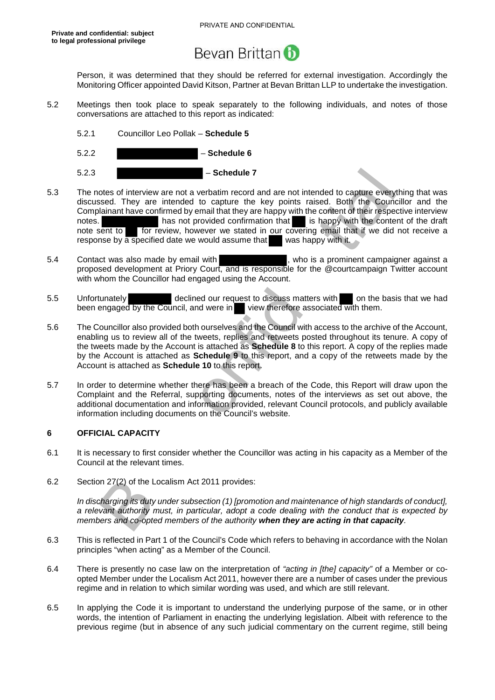Person, it was determined that they should be referred for external investigation. Accordingly the Monitoring Officer appointed David Kitson, Partner at Bevan Brittan LLP to undertake the investigation.

- 5.2 Meetings then took place to speak separately to the following individuals, and notes of those conversations are attached to this report as indicated:
	- 5.2.1 Councillor Leo Pollak **Schedule 5**
	- 5.2.2 **Schedule 6**
	- 5.2.3 **Schedule 7**
- **Schedule 7**<br>
Soles of interview are not a verbatim record and are not interded to capture everythised. They are intended to capture the key points raised. Both the Councilialmant have confirmed by email that they are hap 5.3 The notes of interview are not a verbatim record and are not intended to capture everything that was discussed. They are intended to capture the key points raised. Both the Councillor and the Complainant have confirmed by email that they are happy with the content of their respective interview notes. has not provided confirmation that is happy with the content of the draft note sent to for review, however we stated in our covering email that if we did not receive a response by a specified date we would assume that was happy with it.
- 5.4 Contact was also made by email with **the contact of the set of the contact**, who is a prominent campaigner against a proposed development at Priory Court, and is responsible for the @courtcampaign Twitter account with whom the Councillor had engaged using the Account.
- 5.5 Unfortunately declined our request to discuss matters with on the basis that we had been engaged by the Council, and were in view therefore associated with them. been engaged by the Council, and were in
- 5.6 The Councillor also provided both ourselves and the Council with access to the archive of the Account, enabling us to review all of the tweets, replies and retweets posted throughout its tenure. A copy of the tweets made by the Account is attached as **Schedule 8** to this report. A copy of the replies made by the Account is attached as **Schedule 9** to this report, and a copy of the retweets made by the Account is attached as **Schedule 10** to this report.
- 5.7 In order to determine whether there has been a breach of the Code, this Report will draw upon the Complaint and the Referral, supporting documents, notes of the interviews as set out above, the additional documentation and information provided, relevant Council protocols, and publicly available information including documents on the Council's website.

#### **6 OFFICIAL CAPACITY**

- 6.1 It is necessary to first consider whether the Councillor was acting in his capacity as a Member of the Council at the relevant times.
- 6.2 Section 27(2) of the Localism Act 2011 provides:

*In discharging its duty under subsection (1) [promotion and maintenance of high standards of conduct], a relevant authority must, in particular, adopt a code dealing with the conduct that is expected by members and co-opted members of the authority when they are acting in that capacity.* 

- 6.3 This is reflected in Part 1 of the Council's Code which refers to behaving in accordance with the Nolan principles "when acting" as a Member of the Council.
- 6.4 There is presently no case law on the interpretation of *"acting in [the] capacity"* of a Member or coopted Member under the Localism Act 2011, however there are a number of cases under the previous regime and in relation to which similar wording was used, and which are still relevant.
- 6.5 In applying the Code it is important to understand the underlying purpose of the same, or in other words, the intention of Parliament in enacting the underlying legislation. Albeit with reference to the previous regime (but in absence of any such judicial commentary on the current regime, still being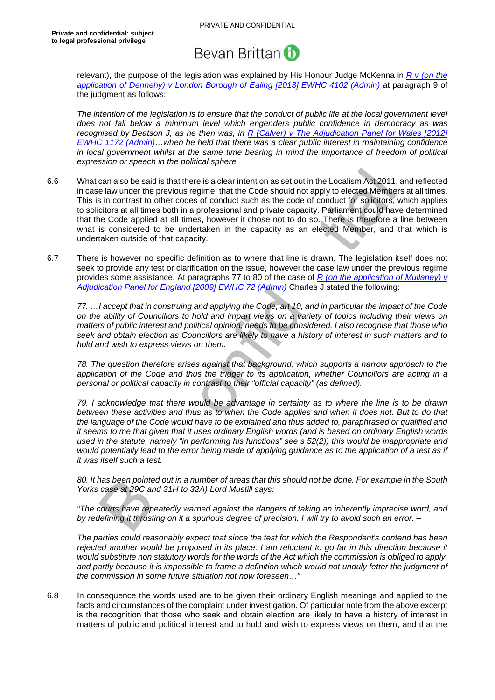relevant), the purpose of the legislation was explained by His Honour Judge McKenna in *R v (on the application of Dennehy) v London Borough of Ealing [2013] EWHC 4102 (Admin)* at paragraph 9 of the judgment as follows:

*The intention of the legislation is to ensure that the conduct of public life at the local government level does not fall below a minimum level which engenders public confidence in democracy as was recognised by Beatson J, as he then was, in R (Calver) v The Adjudication Panel for Wales [2012] EWHC 1172 (Admin)…when he held that there was a clear public interest in maintaining confidence in local government whilst at the same time bearing in mind the importance of freedom of political expression or speech in the political sphere.*

- can also be said is that there is a clear intention as set out in the Localism Act 2011, a<br>le law under the previous regime, that the Code should not apply to lected Members<br>in contrast to other codes of conduct such as th 6.6 What can also be said is that there is a clear intention as set out in the Localism Act 2011, and reflected in case law under the previous regime, that the Code should not apply to elected Members at all times. This is in contrast to other codes of conduct such as the code of conduct for solicitors, which applies to solicitors at all times both in a professional and private capacity. Parliament could have determined that the Code applied at all times, however it chose not to do so. There is therefore a line between what is considered to be undertaken in the capacity as an elected Member, and that which is undertaken outside of that capacity.
- 6.7 There is however no specific definition as to where that line is drawn. The legislation itself does not seek to provide any test or clarification on the issue, however the case law under the previous regime provides some assistance. At paragraphs 77 to 80 of the case of *R (on the application of Mullaney) v Adjudication Panel for England [2009] EWHC 72 (Admin)* Charles J stated the following:

*77. …I accept that in construing and applying the Code, art 10, and in particular the impact of the Code on the ability of Councillors to hold and impart views on a variety of topics including their views on matters of public interest and political opinion, needs to be considered. I also recognise that those who seek and obtain election as Councillors are likely to have a history of interest in such matters and to hold and wish to express views on them.* 

*78. The question therefore arises against that background, which supports a narrow approach to the application of the Code and thus the trigger to its application, whether Councillors are acting in a personal or political capacity in contrast to their "official capacity" (as defined).* 

*79. I acknowledge that there would be advantage in certainty as to where the line is to be drawn between these activities and thus as to when the Code applies and when it does not. But to do that the language of the Code would have to be explained and thus added to, paraphrased or qualified and it seems to me that given that it uses ordinary English words (and is based on ordinary English words used in the statute, namely "in performing his functions" see s 52(2)) this would be inappropriate and would potentially lead to the error being made of applying guidance as to the application of a test as if it was itself such a test.* 

*80. It has been pointed out in a number of areas that this should not be done. For example in the South Yorks case at 29C and 31H to 32A) Lord Mustill says:* 

*"The courts have repeatedly warned against the dangers of taking an inherently imprecise word, and by redefining it thrusting on it a spurious degree of precision. I will try to avoid such an error. –* 

*The parties could reasonably expect that since the test for which the Respondent's contend has been rejected another would be proposed in its place. I am reluctant to go far in this direction because it would substitute non statutory words for the words of the Act which the commission is obliged to apply,*  and partly because it is impossible to frame a definition which would not unduly fetter the judgment of *the commission in some future situation not now foreseen…"* 

6.8 In consequence the words used are to be given their ordinary English meanings and applied to the facts and circumstances of the complaint under investigation. Of particular note from the above excerpt is the recognition that those who seek and obtain election are likely to have a history of interest in matters of public and political interest and to hold and wish to express views on them, and that the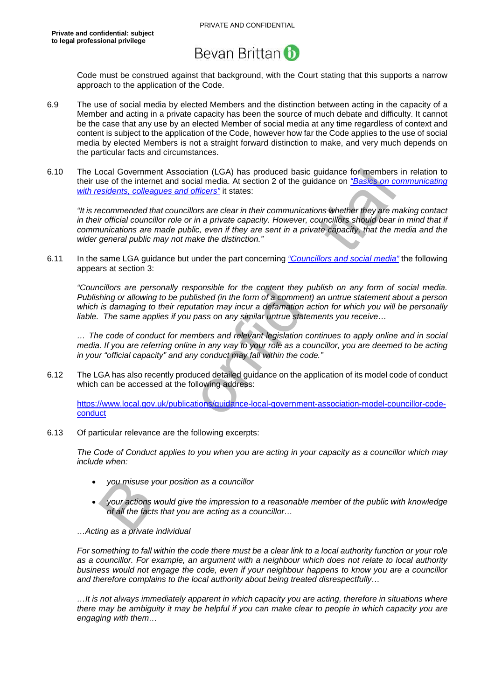Code must be construed against that background, with the Court stating that this supports a narrow approach to the application of the Code.

- 6.9 The use of social media by elected Members and the distinction between acting in the capacity of a Member and acting in a private capacity has been the source of much debate and difficulty. It cannot be the case that any use by an elected Member of social media at any time regardless of context and content is subject to the application of the Code, however how far the Code applies to the use of social media by elected Members is not a straight forward distinction to make, and very much depends on the particular facts and circumstances.
- 6.10 The Local Government Association (LGA) has produced basic guidance for members in relation to their use of the internet and social media. At section 2 of the guidance on *"Basics on communicating with residents, colleagues and officers"* it states:

cocal Government Association (LGA) has produced basic guidance for members in<br>se of the internet and social media. At section 2 of the guidance on "Basics on cor-<br>escontended that councillors are olear in their communicati *"It is recommended that councillors are clear in their communications whether they are making contact*  in their official councillor role or in a private capacity. However, councillors should bear in mind that if *communications are made public, even if they are sent in a private capacity, that the media and the wider general public may not make the distinction."*

6.11 In the same LGA guidance but under the part concerning *"Councillors and social media"* the following appears at section 3:

*"Councillors are personally responsible for the content they publish on any form of social media. Publishing or allowing to be published (in the form of a comment) an untrue statement about a person which is damaging to their reputation may incur a defamation action for which you will be personally liable. The same applies if you pass on any similar untrue statements you receive…* 

*… The code of conduct for members and relevant legislation continues to apply online and in social media. If you are referring online in any way to your role as a councillor, you are deemed to be acting in your "official capacity" and any conduct may fall within the code."* 

6.12 The LGA has also recently produced detailed guidance on the application of its model code of conduct which can be accessed at the following address:

https://www.local.gov.uk/publications/guidance-local-government-association-model-councillor-codeconduct

6.13 Of particular relevance are the following excerpts:

*The Code of Conduct applies to you when you are acting in your capacity as a councillor which may include when:* 

- *you misuse your position as a councillor*
- *your actions would give the impression to a reasonable member of the public with knowledge of all the facts that you are acting as a councillor…*

#### *…Acting as a private individual*

*For something to fall within the code there must be a clear link to a local authority function or your role as a councillor. For example, an argument with a neighbour which does not relate to local authority business would not engage the code, even if your neighbour happens to know you are a councillor and therefore complains to the local authority about being treated disrespectfully…* 

*…It is not always immediately apparent in which capacity you are acting, therefore in situations where there may be ambiguity it may be helpful if you can make clear to people in which capacity you are engaging with them…*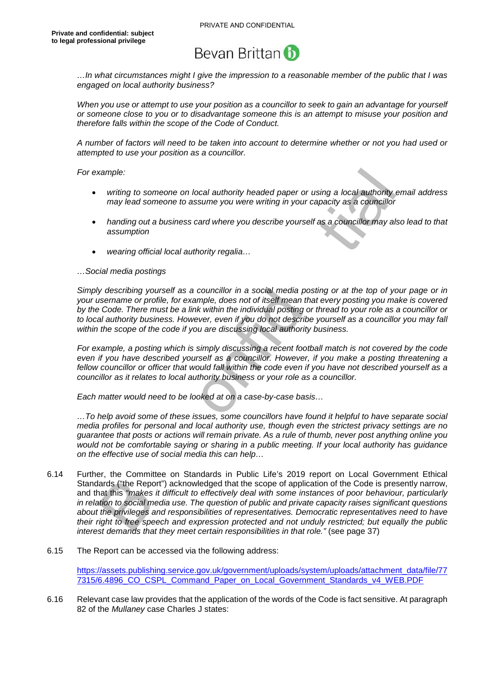

*…In what circumstances might I give the impression to a reasonable member of the public that I was engaged on local authority business?* 

*When you use or attempt to use your position as a councillor to seek to gain an advantage for yourself or someone close to you or to disadvantage someone this is an attempt to misuse your position and therefore falls within the scope of the Code of Conduct.* 

*A number of factors will need to be taken into account to determine whether or not you had used or attempted to use your position as a councillor.* 

*For example:* 

- *writing to someone on local authority headed paper or using a local authority email address may lead someone to assume you were writing in your capacity as a councillor*
- *handing out a business card where you describe yourself as a councillor may also lead to that assumption*
- *wearing official local authority regalia…*

#### *…Social media postings*

*Simply describing yourself as a councillor in a social media posting or at the top of your page or in your username or profile, for example, does not of itself mean that every posting you make is covered by the Code. There must be a link within the individual posting or thread to your role as a councillor or to local authority business. However, even if you do not describe yourself as a councillor you may fall within the scope of the code if you are discussing local authority business.* 

*For example, a posting which is simply discussing a recent football match is not covered by the code even if you have described yourself as a councillor. However, if you make a posting threatening a fellow councillor or officer that would fall within the code even if you have not described yourself as a councillor as it relates to local authority business or your role as a councillor.* 

*Each matter would need to be looked at on a case-by-case basis…* 

*…To help avoid some of these issues, some councillors have found it helpful to have separate social media profiles for personal and local authority use, though even the strictest privacy settings are no guarantee that posts or actions will remain private. As a rule of thumb, never post anything online you would not be comfortable saying or sharing in a public meeting. If your local authority has guidance on the effective use of social media this can help…* 

- writing to someone on local authority headed paper or using a local suthority any lead someone on local authority readed paper or using a local suthority emay head someone to assume you were writing in your capacity as a c 6.14 Further, the Committee on Standards in Public Life's 2019 report on Local Government Ethical Standards ("the Report") acknowledged that the scope of application of the Code is presently narrow, and that this *"makes it difficult to effectively deal with some instances of poor behaviour, particularly in relation to social media use. The question of public and private capacity raises significant questions about the privileges and responsibilities of representatives. Democratic representatives need to have their right to free speech and expression protected and not unduly restricted; but equally the public interest demands that they meet certain responsibilities in that role."* (see page 37)
- 6.15 The Report can be accessed via the following address:

https://assets.publishing.service.gov.uk/government/uploads/system/uploads/attachment\_data/file/77 7315/6.4896\_CO\_CSPL\_Command\_Paper\_on\_Local\_Government\_Standards\_v4\_WEB.PDF

6.16 Relevant case law provides that the application of the words of the Code is fact sensitive. At paragraph 82 of the *Mullaney* case Charles J states: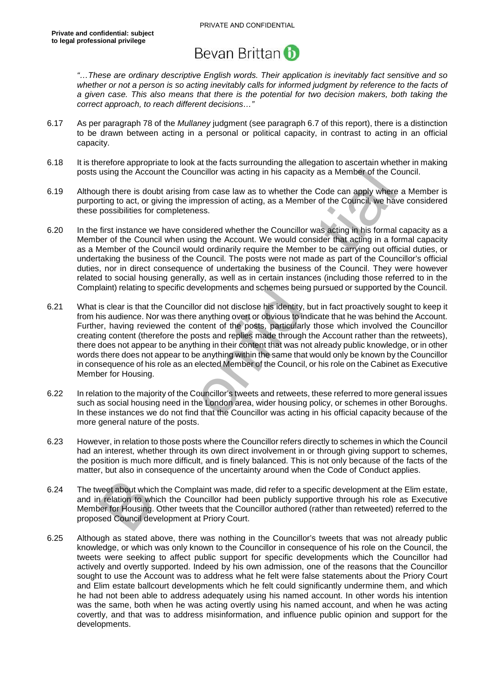

*"…These are ordinary descriptive English words. Their application is inevitably fact sensitive and so whether or not a person is so acting inevitably calls for informed judgment by reference to the facts of a given case. This also means that there is the potential for two decision makers, both taking the correct approach, to reach different decisions…"* 

- 6.17 As per paragraph 78 of the *Mullaney* judgment (see paragraph 6.7 of this report), there is a distinction to be drawn between acting in a personal or political capacity, in contrast to acting in an official capacity.
- 6.18 It is therefore appropriate to look at the facts surrounding the allegation to ascertain whether in making posts using the Account the Councillor was acting in his capacity as a Member of the Council.
- 6.19 Although there is doubt arising from case law as to whether the Code can apply where a Member is purporting to act, or giving the impression of acting, as a Member of the Council, we have considered these possibilities for completeness.
- 6.20 In the first instance we have considered whether the Councillor was acting in his formal capacity as a Member of the Council when using the Account. We would consider that acting in a formal capacity as a Member of the Council would ordinarily require the Member to be carrying out official duties, or undertaking the business of the Council. The posts were not made as part of the Councillor's official duties, nor in direct consequence of undertaking the business of the Council. They were however related to social housing generally, as well as in certain instances (including those referred to in the Complaint) relating to specific developments and schemes being pursued or supported by the Council.
- using the Account the Councillor was acting in his capacity as a Member of the Councillor<br>tring to act, or giving the im case law as to whether the Code can apply where signifitere is doubt arising from case law as to whet 6.21 What is clear is that the Councillor did not disclose his identity, but in fact proactively sought to keep it from his audience. Nor was there anything overt or obvious to indicate that he was behind the Account. Further, having reviewed the content of the posts, particularly those which involved the Councillor creating content (therefore the posts and replies made through the Account rather than the retweets), there does not appear to be anything in their content that was not already public knowledge, or in other words there does not appear to be anything within the same that would only be known by the Councillor in consequence of his role as an elected Member of the Council, or his role on the Cabinet as Executive Member for Housing.
- 6.22 In relation to the majority of the Councillor's tweets and retweets, these referred to more general issues such as social housing need in the London area, wider housing policy, or schemes in other Boroughs. In these instances we do not find that the Councillor was acting in his official capacity because of the more general nature of the posts.
- 6.23 However, in relation to those posts where the Councillor refers directly to schemes in which the Council had an interest, whether through its own direct involvement in or through giving support to schemes, the position is much more difficult, and is finely balanced. This is not only because of the facts of the matter, but also in consequence of the uncertainty around when the Code of Conduct applies.
- 6.24 The tweet about which the Complaint was made, did refer to a specific development at the Elim estate, and in relation to which the Councillor had been publicly supportive through his role as Executive Member for Housing. Other tweets that the Councillor authored (rather than retweeted) referred to the proposed Council development at Priory Court.
- 6.25 Although as stated above, there was nothing in the Councillor's tweets that was not already public knowledge, or which was only known to the Councillor in consequence of his role on the Council, the tweets were seeking to affect public support for specific developments which the Councillor had actively and overtly supported. Indeed by his own admission, one of the reasons that the Councillor sought to use the Account was to address what he felt were false statements about the Priory Court and Elim estate ballcourt developments which he felt could significantly undermine them, and which he had not been able to address adequately using his named account. In other words his intention was the same, both when he was acting overtly using his named account, and when he was acting covertly, and that was to address misinformation, and influence public opinion and support for the developments.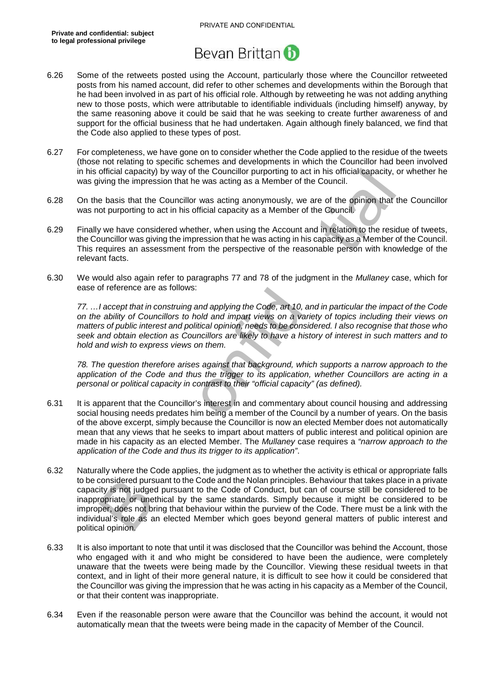

- 6.26 Some of the retweets posted using the Account, particularly those where the Councillor retweeted posts from his named account, did refer to other schemes and developments within the Borough that he had been involved in as part of his official role. Although by retweeting he was not adding anything new to those posts, which were attributable to identifiable individuals (including himself) anyway, by the same reasoning above it could be said that he was seeking to create further awareness of and support for the official business that he had undertaken. Again although finely balanced, we find that the Code also applied to these types of post.
- 6.27 For completeness, we have gone on to consider whether the Code applied to the residue of the tweets (those not relating to specific schemes and developments in which the Councillor had been involved in his official capacity) by way of the Councillor purporting to act in his official capacity, or whether he was giving the impression that he was acting as a Member of the Council.
- 6.28 On the basis that the Councillor was acting anonymously, we are of the opinion that the Councillor was not purporting to act in his official capacity as a Member of the Council.
- 6.29 Finally we have considered whether, when using the Account and in relation to the residue of tweets, the Councillor was giving the impression that he was acting in his capacity as a Member of the Council. This requires an assessment from the perspective of the reasonable person with knowledge of the relevant facts.
- 6.30 We would also again refer to paragraphs 77 and 78 of the judgment in the *Mullaney* case, which for ease of reference are as follows:

*77. …I accept that in construing and applying the Code, art 10, and in particular the impact of the Code on the ability of Councillors to hold and impart views on a variety of topics including their views on matters of public interest and political opinion, needs to be considered. I also recognise that those who seek and obtain election as Councillors are likely to have a history of interest in such matters and to hold and wish to express views on them.* 

*78. The question therefore arises against that background, which supports a narrow approach to the application of the Code and thus the trigger to its application, whether Councillors are acting in a personal or political capacity in contrast to their "official capacity" (as defined).* 

- 6.31 It is apparent that the Councillor's interest in and commentary about council housing and addressing social housing needs predates him being a member of the Council by a number of years. On the basis of the above excerpt, simply because the Councillor is now an elected Member does not automatically mean that any views that he seeks to impart about matters of public interest and political opinion are made in his capacity as an elected Member. The *Mullaney* case requires a *"narrow approach to the application of the Code and thus its trigger to its application"*.
- official capacity) by way of the Councillor purporting to act in his official capacity, or<br>living the impression that he Councillor purporting to act in his official capacity<br>of the basis that the Councillor was acting ano 6.32 Naturally where the Code applies, the judgment as to whether the activity is ethical or appropriate falls to be considered pursuant to the Code and the Nolan principles. Behaviour that takes place in a private capacity is not judged pursuant to the Code of Conduct, but can of course still be considered to be inappropriate or unethical by the same standards. Simply because it might be considered to be improper, does not bring that behaviour within the purview of the Code. There must be a link with the individual's role as an elected Member which goes beyond general matters of public interest and political opinion.
- 6.33 It is also important to note that until it was disclosed that the Councillor was behind the Account, those who engaged with it and who might be considered to have been the audience, were completely unaware that the tweets were being made by the Councillor. Viewing these residual tweets in that context, and in light of their more general nature, it is difficult to see how it could be considered that the Councillor was giving the impression that he was acting in his capacity as a Member of the Council, or that their content was inappropriate.
- 6.34 Even if the reasonable person were aware that the Councillor was behind the account, it would not automatically mean that the tweets were being made in the capacity of Member of the Council.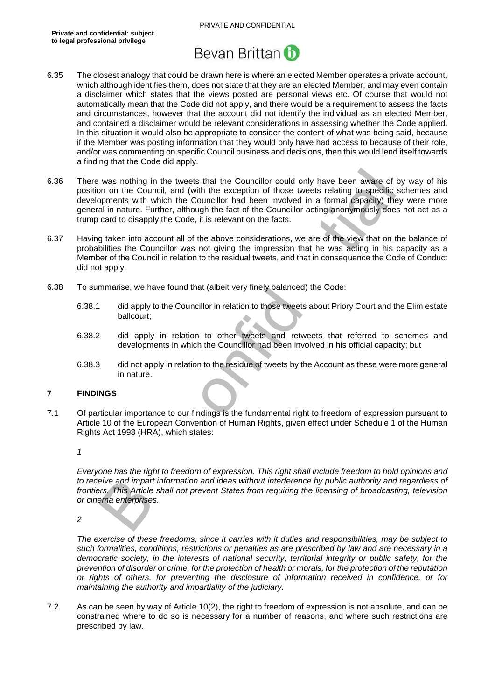

- 6.35 The closest analogy that could be drawn here is where an elected Member operates a private account, which although identifies them, does not state that they are an elected Member, and may even contain a disclaimer which states that the views posted are personal views etc. Of course that would not automatically mean that the Code did not apply, and there would be a requirement to assess the facts and circumstances, however that the account did not identify the individual as an elected Member, and contained a disclaimer would be relevant considerations in assessing whether the Code applied. In this situation it would also be appropriate to consider the content of what was being said, because if the Member was posting information that they would only have had access to because of their role, and/or was commenting on specific Council business and decisions, then this would lend itself towards a finding that the Code did apply.
- was nothing in the tweets that the Councillor could only have been aware of by<br>non on the Council, and (with the exception of those tweets relating to specific sching<br>oppments with which the Councillor had been involved in 6.36 There was nothing in the tweets that the Councillor could only have been aware of by way of his position on the Council, and (with the exception of those tweets relating to specific schemes and developments with which the Councillor had been involved in a formal capacity) they were more general in nature. Further, although the fact of the Councillor acting anonymously does not act as a trump card to disapply the Code, it is relevant on the facts.
- 6.37 Having taken into account all of the above considerations, we are of the view that on the balance of probabilities the Councillor was not giving the impression that he was acting in his capacity as a Member of the Council in relation to the residual tweets, and that in consequence the Code of Conduct did not apply.
- 6.38 To summarise, we have found that (albeit very finely balanced) the Code:
	- 6.38.1 did apply to the Councillor in relation to those tweets about Priory Court and the Elim estate ballcourt;
	- 6.38.2 did apply in relation to other tweets and retweets that referred to schemes and developments in which the Councillor had been involved in his official capacity; but
	- 6.38.3 did not apply in relation to the residue of tweets by the Account as these were more general in nature.

#### **7 FINDINGS**

7.1 Of particular importance to our findings is the fundamental right to freedom of expression pursuant to Article 10 of the European Convention of Human Rights, given effect under Schedule 1 of the Human Rights Act 1998 (HRA), which states:

*1* 

*Everyone has the right to freedom of expression. This right shall include freedom to hold opinions and to receive and impart information and ideas without interference by public authority and regardless of frontiers. This Article shall not prevent States from requiring the licensing of broadcasting, television or cinema enterprises.* 

*2* 

*The exercise of these freedoms, since it carries with it duties and responsibilities, may be subject to such formalities, conditions, restrictions or penalties as are prescribed by law and are necessary in a democratic society, in the interests of national security, territorial integrity or public safety, for the prevention of disorder or crime, for the protection of health or morals, for the protection of the reputation or rights of others, for preventing the disclosure of information received in confidence, or for maintaining the authority and impartiality of the judiciary.* 

7.2 As can be seen by way of Article 10(2), the right to freedom of expression is not absolute. and can be constrained where to do so is necessary for a number of reasons, and where such restrictions are prescribed by law.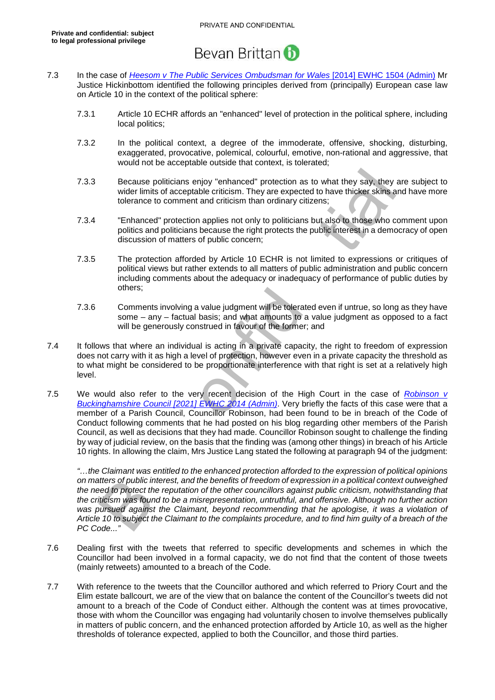- 7.3 In the case of *Heesom v The Public Services Ombudsman for Wales* [2014] EWHC 1504 (Admin) Mr Justice Hickinbottom identified the following principles derived from (principally) European case law on Article 10 in the context of the political sphere:
	- 7.3.1 Article 10 ECHR affords an "enhanced" level of protection in the political sphere, including local politics;
	- 7.3.2 In the political context, a degree of the immoderate, offensive, shocking, disturbing, exaggerated, provocative, polemical, colourful, emotive, non-rational and aggressive, that would not be acceptable outside that context, is tolerated;
	- 7.3.3 Because politicians enjoy "enhanced" protection as to what they say, they are subject to wider limits of acceptable criticism. They are expected to have thicker skins and have more tolerance to comment and criticism than ordinary citizens;
	- 7.3.4 "Enhanced" protection applies not only to politicians but also to those who comment upon politics and politicians because the right protects the public interest in a democracy of open discussion of matters of public concern;
	- 7.3.5 The protection afforded by Article 10 ECHR is not limited to expressions or critiques of political views but rather extends to all matters of public administration and public concern including comments about the adequacy or inadequacy of performance of public duties by others;
	- 7.3.6 Comments involving a value judgment will be tolerated even if untrue, so long as they have some – any – factual basis; and what amounts to a value judgment as opposed to a fact will be generously construed in favour of the former; and
- 7.4 It follows that where an individual is acting in a private capacity, the right to freedom of expression does not carry with it as high a level of protection, however even in a private capacity the threshold as to what might be considered to be proportionate interference with that right is set at a relatively high level.
- Because politicians enjoy "emhanced" protection as to what they say, they are<br>vider limits of acceptable criticism. They are expected to have thickers skins and<br>vider limits of acceptable criticism. They are expected to h 7.5 We would also refer to the very recent decision of the High Court in the case of *Robinson v Buckinghamshire Council [2021] EWHC 2014 (Admin)*. Very briefly the facts of this case were that a member of a Parish Council, Councillor Robinson, had been found to be in breach of the Code of Conduct following comments that he had posted on his blog regarding other members of the Parish Council, as well as decisions that they had made. Councillor Robinson sought to challenge the finding by way of judicial review, on the basis that the finding was (among other things) in breach of his Article 10 rights. In allowing the claim, Mrs Justice Lang stated the following at paragraph 94 of the judgment:

*"…the Claimant was entitled to the enhanced protection afforded to the expression of political opinions on matters of public interest, and the benefits of freedom of expression in a political context outweighed the need to protect the reputation of the other councillors against public criticism, notwithstanding that the criticism was found to be a misrepresentation, untruthful, and offensive. Although no further action*  was pursued against the Claimant, beyond recommending that he apologise, it was a violation of *Article 10 to subject the Claimant to the complaints procedure, and to find him guilty of a breach of the PC Code..."* 

- 7.6 Dealing first with the tweets that referred to specific developments and schemes in which the Councillor had been involved in a formal capacity, we do not find that the content of those tweets (mainly retweets) amounted to a breach of the Code.
- 7.7 With reference to the tweets that the Councillor authored and which referred to Priory Court and the Elim estate ballcourt, we are of the view that on balance the content of the Councillor's tweets did not amount to a breach of the Code of Conduct either. Although the content was at times provocative, those with whom the Councillor was engaging had voluntarily chosen to involve themselves publically in matters of public concern, and the enhanced protection afforded by Article 10, as well as the higher thresholds of tolerance expected, applied to both the Councillor, and those third parties.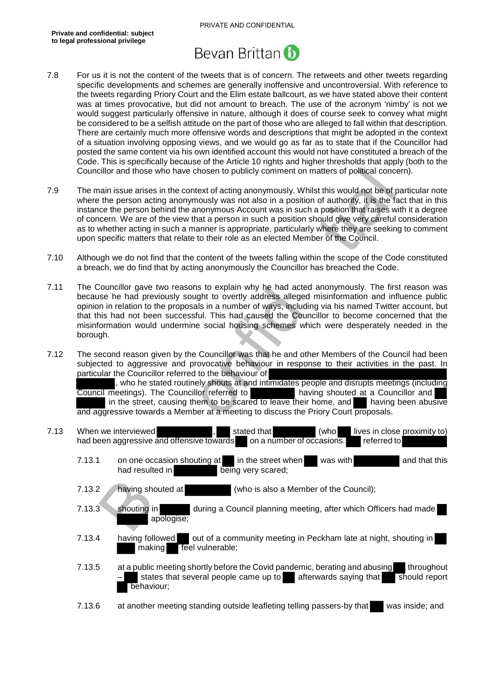

- 7.8 For us it is not the content of the tweets that is of concern. The retweets and other tweets regarding specific developments and schemes are generally inoffensive and uncontroversial. With reference to the tweets regarding Priory Court and the Elim estate ballcourt, as we have stated above their content was at times provocative, but did not amount to breach. The use of the acronym 'nimby' is not we would suggest particularly offensive in nature, although it does of course seek to convey what might be considered to be a selfish attitude on the part of those who are alleged to fall within that description. There are certainly much more offensive words and descriptions that might be adopted in the context of a situation involving opposing views, and we would go as far as to state that if the Councillor had posted the same content via his own identified account this would not have constituted a breach of the Code. This is specifically because of the Article 10 rights and higher thresholds that apply (both to the Councillor and those who have chosen to publicly comment on matters of political concern).
- cillor and those who have chosen to publicly comment on matters of political concer<br>tial missue artists in the context of acting anonymously. Whilst this would not be of particle and<br>the person acting anonymously was not a 7.9 The main issue arises in the context of acting anonymously. Whilst this would not be of particular note where the person acting anonymously was not also in a position of authority, it is the fact that in this instance the person behind the anonymous Account was in such a position that raises with it a degree of concern. We are of the view that a person in such a position should give very careful consideration as to whether acting in such a manner is appropriate, particularly where they are seeking to comment upon specific matters that relate to their role as an elected Member of the Council.
- 7.10 Although we do not find that the content of the tweets falling within the scope of the Code constituted a breach, we do find that by acting anonymously the Councillor has breached the Code.
- 7.11 The Councillor gave two reasons to explain why he had acted anonymously. The first reason was because he had previously sought to overtly address alleged misinformation and influence public opinion in relation to the proposals in a number of ways, including via his named Twitter account, but that this had not been successful. This had caused the Councillor to become concerned that the misinformation would undermine social housing schemes which were desperately needed in the borough.
- 7.12 The second reason given by the Councillor was that he and other Members of the Council had been subjected to aggressive and provocative behaviour in response to their activities in the past. In particular the Councillor referred to the behaviour of

, who he stated routinely shouts at and intimidates people and disrupts meetings (including Council meetings). The Councillor referred to having shouted at a Councillor and in the street, causing them to be scared to leave their home, and having been abusive and aggressive towards a Member at a meeting to discuss the Priory Court proposals.

| 7.13 | When we interviewed                       | stated that               | (who l | lives in close proximity to) |  |
|------|-------------------------------------------|---------------------------|--------|------------------------------|--|
|      | had been aggressive and offensive towards | on a number of occasions. |        | referred to                  |  |

- 7.13.1 on one occasion shouting at in the street when was with and that this had resulted in **being** very scared;
- 7.13.2 having shouted at (who is also a Member of the Council);
- 7.13.3 shouting in during a Council planning meeting, after which Officers had made apologise;
- 7.13.4 having followed out of a community meeting in Peckham late at night, shouting in making **feel** vulnerable;
- 7.13.5 at a public meeting shortly before the Covid pandemic, berating and abusing throughout states that several people came up to afterwards saying that should report behaviour;
- 7.13.6 at another meeting standing outside leafleting telling passers-by that was inside; and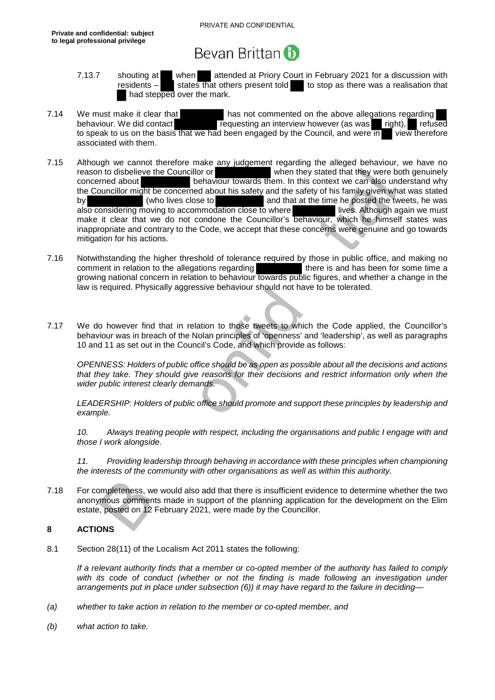- 7.13.7 shouting at when attended at Priory Court in February 2021 for a discussion with residents  $-$  states that others present told to stop as there was a realisation that had stepped over the mark.
- 7.14 We must make it clear that has not commented on the above allegations regarding behaviour. We did contact requesting an interview however (as was right), refused to speak to us on the basis that we had been engaged by the Council, and were in view therefore associated with them.
- n to disbelieve the Council brown towards them. In this context we can also und<br>mediabout the women behaviour towards them. In this context we can also und<br>uncillor might be concerned about his safety and the safety of his 7.15 Although we cannot therefore make any judgement regarding the alleged behaviour, we have no<br>reason to disbelieve the Councillor or when they stated that they were both genuinely concerned about behaviour towards them. In this context we can also understand why the Councillor might be concerned about his safety and the safety of his family given what was stated by vectors (who lives close to and that at the time he posted the tweets, he was also considering moving to accommodation close to where also considering moving to accommodation close to where make it clear that we do not condone the Councillor's behaviour, which he himself states was inappropriate and contrary to the Code, we accept that these concerns were genuine and go towards mitigation for his actions.
- 7.16 Notwithstanding the higher threshold of tolerance required by those in public office, and making no comment in relation to the allegations regarding there is and has been for some time a growing national concern in relation to behaviour towards public figures, and whether a change in the law is required. Physically aggressive behaviour should not have to be tolerated.
- 7.17 We do however find that in relation to those tweets to which the Code applied, the Councillor's behaviour was in breach of the Nolan principles of 'openness' and 'leadership', as well as paragraphs 10 and 11 as set out in the Council's Code, and which provide as follows:

*OPENNESS: Holders of public office should be as open as possible about all the decisions and actions that they take. They should give reasons for their decisions and restrict information only when the wider public interest clearly demands.* 

*LEADERSHIP: Holders of public office should promote and support these principles by leadership and example.* 

*10. Always treating people with respect, including the organisations and public I engage with and those I work alongside.* 

*11. Providing leadership through behaving in accordance with these principles when championing the interests of the community with other organisations as well as within this authority.* 

7.18 For completeness, we would also add that there is insufficient evidence to determine whether the two anonymous comments made in support of the planning application for the development on the Elim estate, posted on 12 February 2021, were made by the Councillor.

#### **8 ACTIONS**

8.1 Section 28(11) of the Localism Act 2011 states the following:

*If a relevant authority finds that a member or co-opted member of the authority has failed to comply*  with its code of conduct (whether or not the finding is made following an investigation under *arrangements put in place under subsection (6)) it may have regard to the failure in deciding—* 

- *(a) whether to take action in relation to the member or co-opted member, and*
- *(b) what action to take.*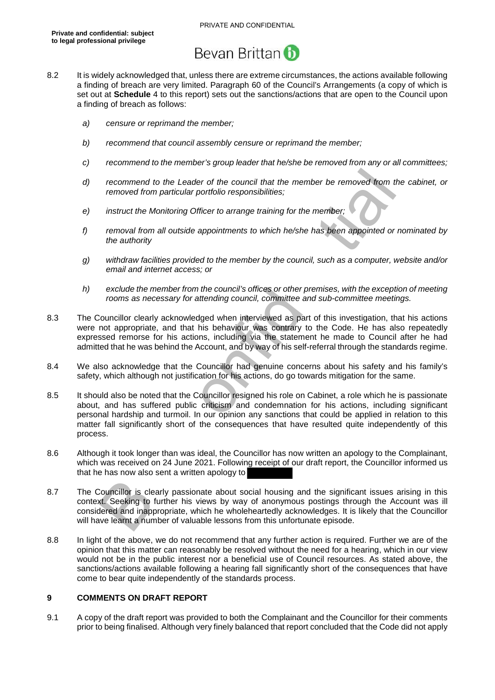- 8.2 It is widely acknowledged that, unless there are extreme circumstances, the actions available following a finding of breach are very limited. Paragraph 60 of the Council's Arrangements (a copy of which is set out at **Schedule** 4 to this report) sets out the sanctions/actions that are open to the Council upon a finding of breach as follows:
	- *a) censure or reprimand the member;*
	- *b) recommend that council assembly censure or reprimand the member;*
	- *c) recommend to the member's group leader that he/she be removed from any or all committees;*
	- *d) recommend to the Leader of the council that the member be removed from the cabinet, or removed from particular portfolio responsibilities;*
	- *e) instruct the Monitoring Officer to arrange training for the member;*
	- *f) removal from all outside appointments to which he/she has been appointed or nominated by the authority*
	- *g) withdraw facilities provided to the member by the council, such as a computer, website and/or email and internet access; or*
	- *h) exclude the member from the council's offices or other premises, with the exception of meeting rooms as necessary for attending council, committee and sub-committee meetings.*
- 8.3 The Councillor clearly acknowledged when interviewed as part of this investigation, that his actions were not appropriate, and that his behaviour was contrary to the Code. He has also repeatedly expressed remorse for his actions, including via the statement he made to Council after he had admitted that he was behind the Account, and by way of his self-referral through the standards regime.
- 8.4 We also acknowledge that the Councillor had genuine concerns about his safety and his family's safety, which although not justification for his actions, do go towards mitigation for the same.
- recommend to the Leader of the council that the member be removed from the<br>removed from particular portfolio responsibilities;<br>instruct the Monitoring Officer to arrange training for the member;<br>removal from all outside ap 8.5 It should also be noted that the Councillor resigned his role on Cabinet, a role which he is passionate about, and has suffered public criticism and condemnation for his actions, including significant personal hardship and turmoil. In our opinion any sanctions that could be applied in relation to this matter fall significantly short of the consequences that have resulted quite independently of this process.
- 8.6 Although it took longer than was ideal, the Councillor has now written an apology to the Complainant, which was received on 24 June 2021. Following receipt of our draft report, the Councillor informed us that he has now also sent a written apology to
- 8.7 The Councillor is clearly passionate about social housing and the significant issues arising in this context. Seeking to further his views by way of anonymous postings through the Account was ill considered and inappropriate, which he wholeheartedly acknowledges. It is likely that the Councillor will have learnt a number of valuable lessons from this unfortunate episode.
- 8.8 In light of the above, we do not recommend that any further action is required. Further we are of the opinion that this matter can reasonably be resolved without the need for a hearing, which in our view would not be in the public interest nor a beneficial use of Council resources. As stated above, the sanctions/actions available following a hearing fall significantly short of the consequences that have come to bear quite independently of the standards process.

#### **9 COMMENTS ON DRAFT REPORT**

9.1 A copy of the draft report was provided to both the Complainant and the Councillor for their comments prior to being finalised. Although very finely balanced that report concluded that the Code did not apply